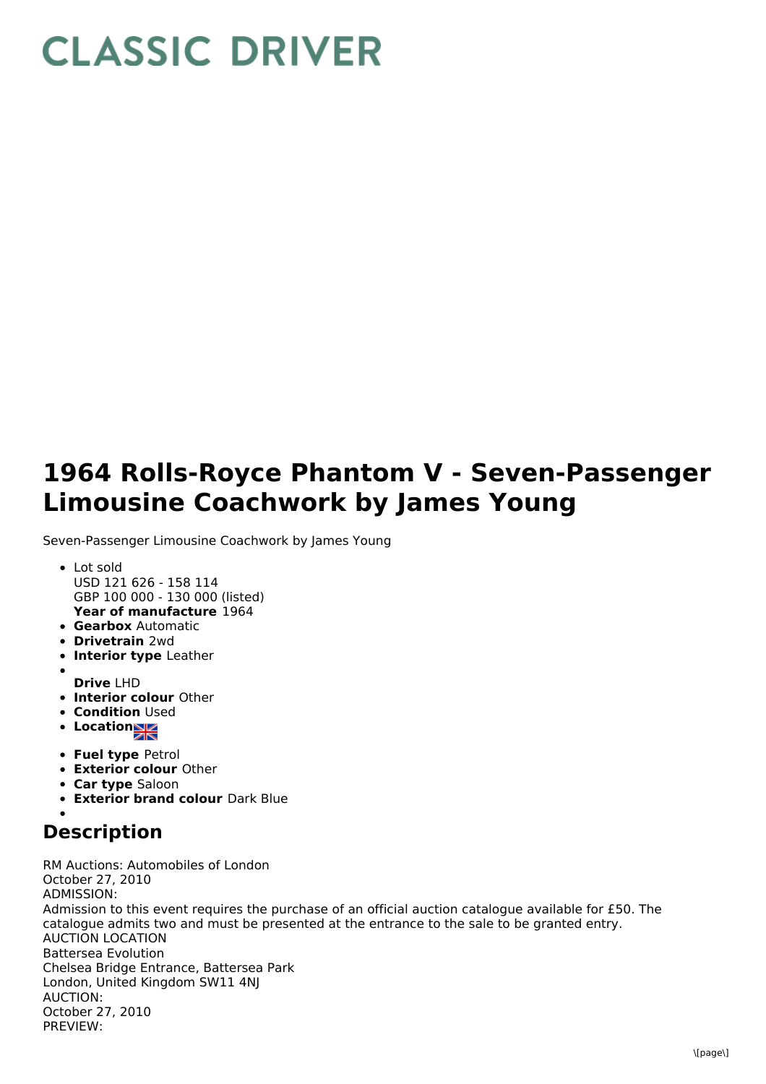## **CLASSIC DRIVER**

## **1964 Rolls-Royce Phantom V - Seven-Passenger Limousine Coachwork by James Young**

Seven-Passenger Limousine Coachwork by James Young

- **Year of manufacture** 1964 Lot sold USD 121 626 - 158 114 GBP 100 000 - 130 000 (listed)
- **Gearbox** Automatic
- **Drivetrain** 2wd
- **Interior type** Leather
- **Drive** LHD
- **Interior colour** Other
- **Condition Used**
- **Locations**
- **Fuel type** Petrol
- **Exterior colour** Other
- **Car type** Saloon
- **Exterior brand colour** Dark Blue

## **Description**

RM Auctions: Automobiles of London October 27, 2010 ADMISSION: Admission to this event requires the purchase of an official auction catalogue available for £50. The catalogue admits two and must be presented at the entrance to the sale to be granted entry. AUCTION LOCATION Battersea Evolution Chelsea Bridge Entrance, Battersea Park London, United Kingdom SW11 4NJ AUCTION: October 27, 2010 PREVIEW: